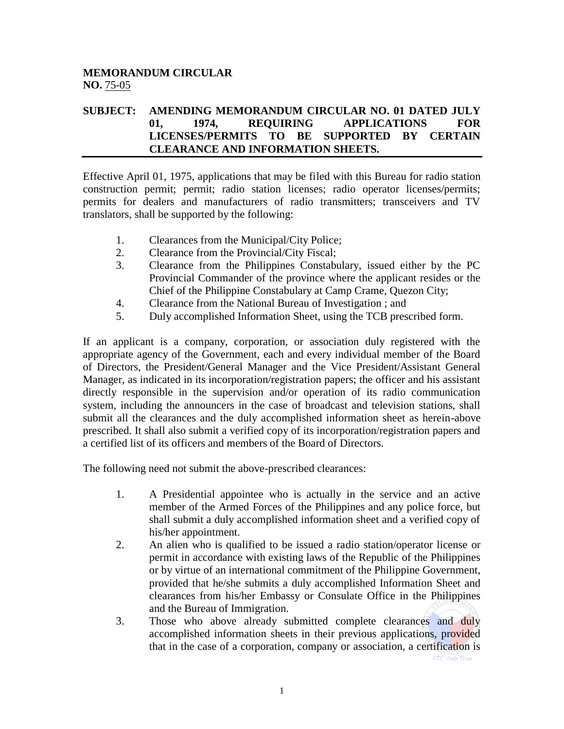## **MEMORANDUM CIRCULAR NO.** 75-05

## **SUBJECT: AMENDING MEMORANDUM CIRCULAR NO. 01 DATED JULY 01, 1974, REQUIRING APPLICATIONS FOR LICENSES/PERMITS TO BE SUPPORTED BY CERTAIN CLEARANCE AND INFORMATION SHEETS.**

Effective April 01, 1975, applications that may be filed with this Bureau for radio station construction permit; permit; radio station licenses; radio operator licenses/permits; permits for dealers and manufacturers of radio transmitters; transceivers and TV translators, shall be supported by the following:

- 1. Clearances from the Municipal/City Police;
- 2. Clearance from the Provincial/City Fiscal;
- 3. Clearance from the Philippines Constabulary, issued either by the PC Provincial Commander of the province where the applicant resides or the Chief of the Philippine Constabulary at Camp Crame, Quezon City;
- 4. Clearance from the National Bureau of Investigation ; and
- 5. Duly accomplished Information Sheet, using the TCB prescribed form.

If an applicant is a company, corporation, or association duly registered with the appropriate agency of the Government, each and every individual member of the Board of Directors, the President/General Manager and the Vice President/Assistant General Manager, as indicated in its incorporation/registration papers; the officer and his assistant directly responsible in the supervision and/or operation of its radio communication system, including the announcers in the case of broadcast and television stations, shall submit all the clearances and the duly accomplished information sheet as herein-above prescribed. It shall also submit a verified copy of its incorporation/registration papers and a certified list of its officers and members of the Board of Directors.

The following need not submit the above-prescribed clearances:

- 1. A Presidential appointee who is actually in the service and an active member of the Armed Forces of the Philippines and any police force, but shall submit a duly accomplished information sheet and a verified copy of his/her appointment.
- 2. An alien who is qualified to be issued a radio station/operator license or permit in accordance with existing laws of the Republic of the Philippines or by virtue of an international commitment of the Philippine Government, provided that he/she submits a duly accomplished Information Sheet and clearances from his/her Embassy or Consulate Office in the Philippines and the Bureau of Immigration.
- 3. Those who above already submitted complete clearances and duly accomplished information sheets in their previous applications, provided that in the case of a corporation, company or association, a certification is